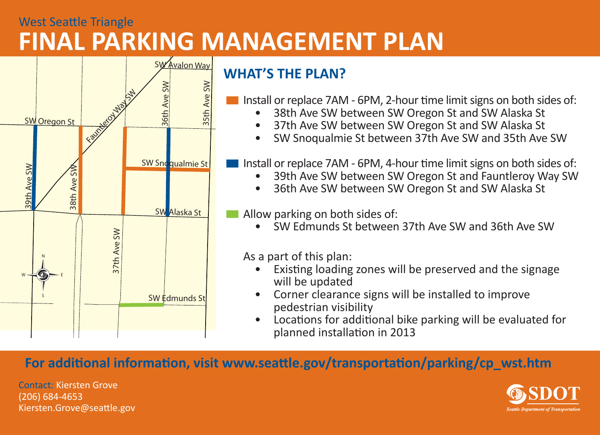## West Seattle Triangle **FINAL PARKING MANAGEMENT PLAN**



## **WHAT'S THE PLAN?**

- Install or replace 7AM 6PM, 2-hour time limit signs on both sides of:
	- 38th Ave SW between SW Oregon St and SW Alaska St
	- 37th Ave SW between SW Oregon St and SW Alaska St
	- SW Snoqualmie St between 37th Ave SW and 35th Ave SW

Install or replace 7AM - 6PM, 4-hour time limit signs on both sides of:

- 39th Ave SW between SW Oregon St and Fauntleroy Way SW
- 36th Ave SW between SW Oregon St and SW Alaska St

**Allow parking on both sides of:** 

• SW Edmunds St between 37th Ave SW and 36th Ave SW

As a part of this plan:

- Existing loading zones will be preserved and the signage will be updated
- Corner clearance signs will be installed to improve pedestrian visibility
- Locations for additional bike parking will be evaluated for planned installation in 2013

## **For additional information, visit www.seattle.gov/transportation/parking/cp\_wst.htm**

Contact: Kiersten Grove(206) 684-4653 Kiersten.Grove@seattle.gov